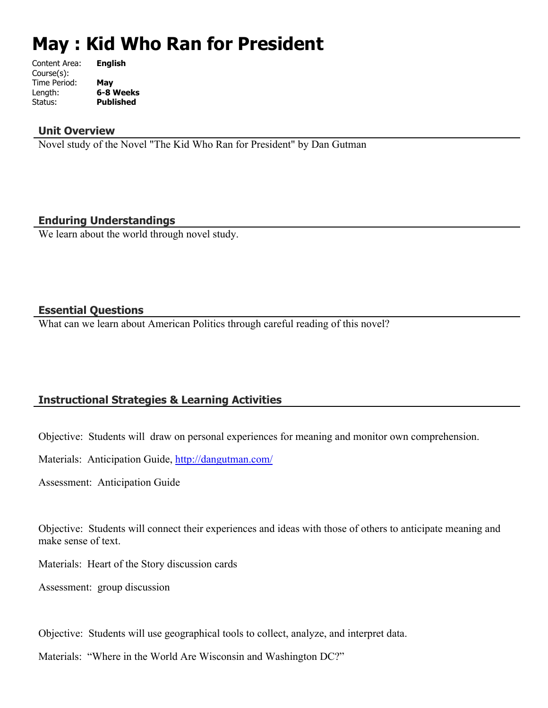# **May : Kid Who Ran for President**

| <b>English</b>   |
|------------------|
|                  |
| May              |
| 6-8 Weeks        |
| <b>Published</b> |
|                  |

## **Unit Overview**

Novel study of the Novel "The Kid Who Ran for President" by Dan Gutman

## **Enduring Understandings**

We learn about the world through novel study.

## **Essential Questions**

What can we learn about American Politics through careful reading of this novel?

# **Instructional Strategies & Learning Activities**

Objective: Students will draw on personal experiences for meaning and monitor own comprehension.

Materials: Anticipation Guide, <http://dangutman.com/>

Assessment: Anticipation Guide

Objective: Students will connect their experiences and ideas with those of others to anticipate meaning and make sense of text.

Materials: Heart of the Story discussion cards

Assessment: group discussion

Objective: Students will use geographical tools to collect, analyze, and interpret data.

Materials: "Where in the World Are Wisconsin and Washington DC?"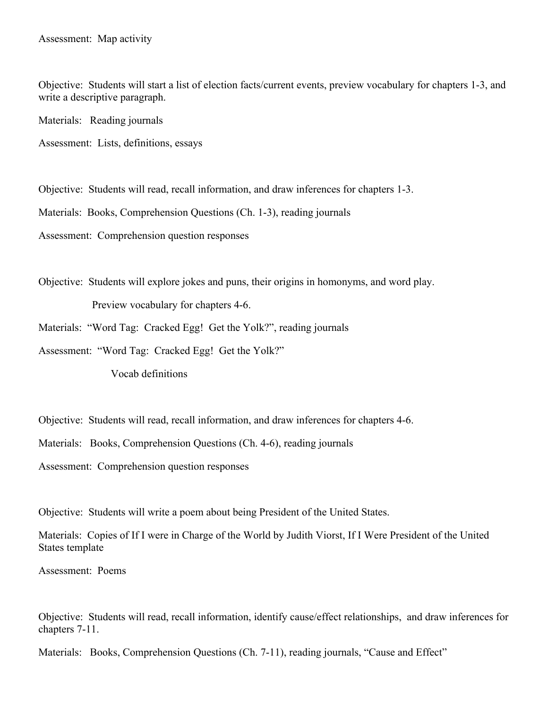Objective: Students will start a list of election facts/current events, preview vocabulary for chapters 1-3, and write a descriptive paragraph.

Materials: Reading journals

Assessment: Lists, definitions, essays

Objective: Students will read, recall information, and draw inferences for chapters 1-3.

Materials: Books, Comprehension Questions (Ch. 1-3), reading journals

Assessment: Comprehension question responses

Objective: Students will explore jokes and puns, their origins in homonyms, and word play. Preview vocabulary for chapters 4-6.

Materials: "Word Tag: Cracked Egg! Get the Yolk?", reading journals

Assessment: "Word Tag: Cracked Egg! Get the Yolk?"

Vocab definitions

Objective: Students will read, recall information, and draw inferences for chapters 4-6.

Materials: Books, Comprehension Questions (Ch. 4-6), reading journals

Assessment: Comprehension question responses

Objective: Students will write a poem about being President of the United States.

Materials: Copies of If I were in Charge of the World by Judith Viorst, If I Were President of the United States template

Assessment: Poems

Objective: Students will read, recall information, identify cause/effect relationships, and draw inferences for chapters 7-11.

Materials: Books, Comprehension Questions (Ch. 7-11), reading journals, "Cause and Effect"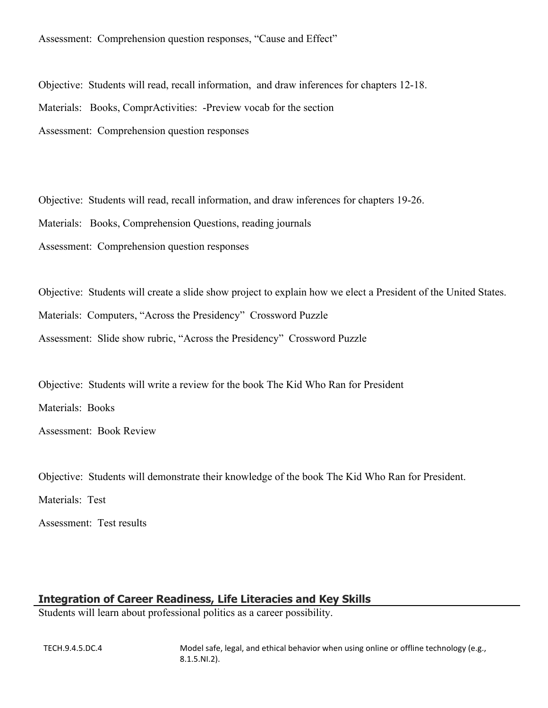Assessment: Comprehension question responses, "Cause and Effect"

Objective: Students will read, recall information, and draw inferences for chapters 12-18. Materials: Books, ComprActivities: -Preview vocab for the section Assessment: Comprehension question responses

Objective: Students will read, recall information, and draw inferences for chapters 19-26. Materials: Books, Comprehension Questions, reading journals Assessment: Comprehension question responses

Objective: Students will create a slide show project to explain how we elect a President of the United States. Materials: Computers, "Across the Presidency" Crossword Puzzle Assessment: Slide show rubric, "Across the Presidency" Crossword Puzzle

Objective: Students will write a review for the book The Kid Who Ran for President

Materials: Books

Assessment: Book Review

Objective: Students will demonstrate their knowledge of the book The Kid Who Ran for President.

Materials: Test

Assessment: Test results

# **Integration of Career Readiness, Life Literacies and Key Skills**

Students will learn about professional politics as a career possibility.

TECH.9.4.5.DC.4 Model safe, legal, and ethical behavior when using online or offline technology (e.g., 8.1.5.NI.2).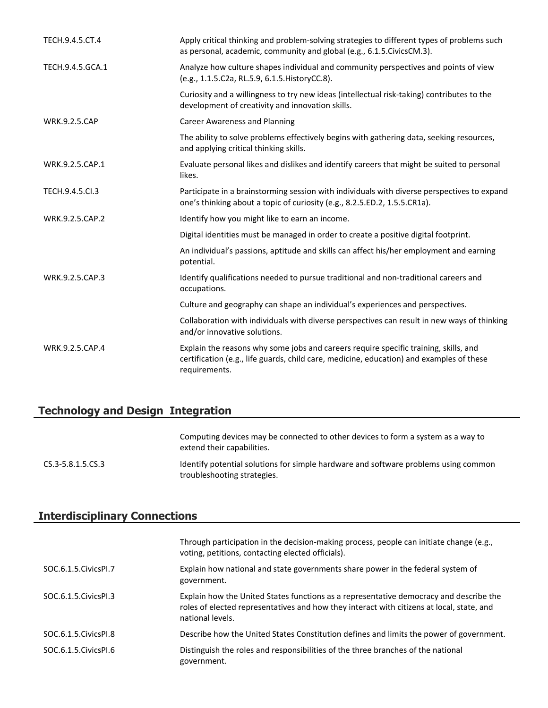| TECH.9.4.5.CT.4      | Apply critical thinking and problem-solving strategies to different types of problems such<br>as personal, academic, community and global (e.g., 6.1.5. Civics CM.3).                             |
|----------------------|---------------------------------------------------------------------------------------------------------------------------------------------------------------------------------------------------|
| TECH.9.4.5.GCA.1     | Analyze how culture shapes individual and community perspectives and points of view<br>(e.g., 1.1.5.C2a, RL.5.9, 6.1.5. HistoryCC.8).                                                             |
|                      | Curiosity and a willingness to try new ideas (intellectual risk-taking) contributes to the<br>development of creativity and innovation skills.                                                    |
| <b>WRK.9.2.5.CAP</b> | <b>Career Awareness and Planning</b>                                                                                                                                                              |
|                      | The ability to solve problems effectively begins with gathering data, seeking resources,<br>and applying critical thinking skills.                                                                |
| WRK.9.2.5.CAP.1      | Evaluate personal likes and dislikes and identify careers that might be suited to personal<br>likes.                                                                                              |
| TECH.9.4.5.Cl.3      | Participate in a brainstorming session with individuals with diverse perspectives to expand<br>one's thinking about a topic of curiosity (e.g., 8.2.5.ED.2, 1.5.5.CR1a).                          |
| WRK.9.2.5.CAP.2      | Identify how you might like to earn an income.                                                                                                                                                    |
|                      | Digital identities must be managed in order to create a positive digital footprint.                                                                                                               |
|                      | An individual's passions, aptitude and skills can affect his/her employment and earning<br>potential.                                                                                             |
| WRK.9.2.5.CAP.3      | Identify qualifications needed to pursue traditional and non-traditional careers and<br>occupations.                                                                                              |
|                      | Culture and geography can shape an individual's experiences and perspectives.                                                                                                                     |
|                      | Collaboration with individuals with diverse perspectives can result in new ways of thinking<br>and/or innovative solutions.                                                                       |
| WRK.9.2.5.CAP.4      | Explain the reasons why some jobs and careers require specific training, skills, and<br>certification (e.g., life guards, child care, medicine, education) and examples of these<br>requirements. |

# **Technology and Design Integration**

Computing devices may be connected to other devices to form a system as a way to extend their capabilities. CS.3-5.8.1.5.CS.3 Identify potential solutions for simple hardware and software problems using common troubleshooting strategies.

## **Interdisciplinary Connections**

|                        | Through participation in the decision-making process, people can initiate change (e.g.,<br>voting, petitions, contacting elected officials).                                                            |
|------------------------|---------------------------------------------------------------------------------------------------------------------------------------------------------------------------------------------------------|
| SOC.6.1.5. Civics PI.7 | Explain how national and state governments share power in the federal system of<br>government.                                                                                                          |
| SOC.6.1.5. Civics PI.3 | Explain how the United States functions as a representative democracy and describe the<br>roles of elected representatives and how they interact with citizens at local, state, and<br>national levels. |
| SOC.6.1.5. Civics PI.8 | Describe how the United States Constitution defines and limits the power of government.                                                                                                                 |
| SOC.6.1.5. Civics PI.6 | Distinguish the roles and responsibilities of the three branches of the national<br>government.                                                                                                         |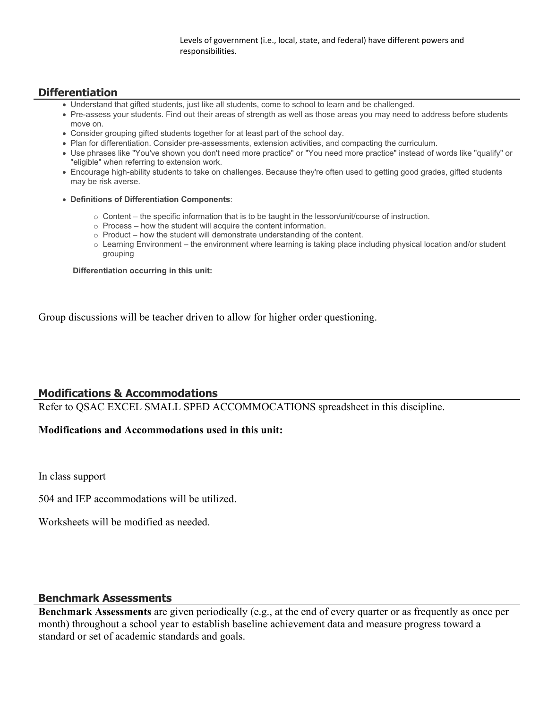Levels of government (i.e., local, state, and federal) have different powers and responsibilities.

### **Differentiation**

- Understand that gifted students, just like all students, come to school to learn and be challenged.
- Pre-assess your students. Find out their areas of strength as well as those areas you may need to address before students move on.
- Consider grouping gifted students together for at least part of the school day.
- Plan for differentiation. Consider pre-assessments, extension activities, and compacting the curriculum.
- Use phrases like "You've shown you don't need more practice" or "You need more practice" instead of words like "qualify" or "eligible" when referring to extension work.
- Encourage high-ability students to take on challenges. Because they're often used to getting good grades, gifted students may be risk averse.
- **Definitions of Differentiation Components**:
	- o Content the specific information that is to be taught in the lesson/unit/course of instruction.
	- o Process how the student will acquire the content information.
	- o Product how the student will demonstrate understanding of the content.
	- $\circ$  Learning Environment the environment where learning is taking place including physical location and/or student grouping

 **Differentiation occurring in this unit:**

Group discussions will be teacher driven to allow for higher order questioning.

#### **Modifications & Accommodations**

Refer to QSAC EXCEL SMALL SPED ACCOMMOCATIONS spreadsheet in this discipline.

#### **Modifications and Accommodations used in this unit:**

In class support

504 and IEP accommodations will be utilized.

Worksheets will be modified as needed.

#### **Benchmark Assessments**

**Benchmark Assessments** are given periodically (e.g., at the end of every quarter or as frequently as once per month) throughout a school year to establish baseline achievement data and measure progress toward a standard or set of academic standards and goals.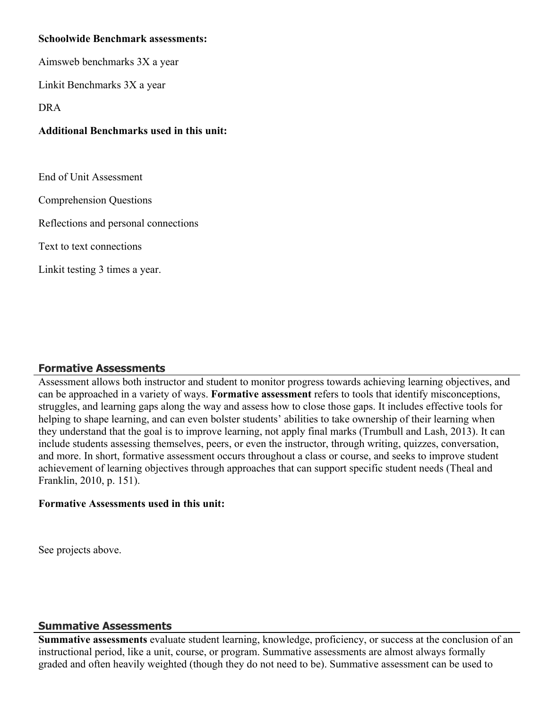## **Schoolwide Benchmark assessments:**

Aimsweb benchmarks 3X a year

Linkit Benchmarks 3X a year

DRA

## **Additional Benchmarks used in this unit:**

End of Unit Assessment

Comprehension Questions

Reflections and personal connections

Text to text connections

Linkit testing 3 times a year.

## **Formative Assessments**

Assessment allows both instructor and student to monitor progress towards achieving learning objectives, and can be approached in a variety of ways. **Formative assessment** refers to tools that identify misconceptions, struggles, and learning gaps along the way and assess how to close those gaps. It includes effective tools for helping to shape learning, and can even bolster students' abilities to take ownership of their learning when they understand that the goal is to improve learning, not apply final marks (Trumbull and Lash, 2013). It can include students assessing themselves, peers, or even the instructor, through writing, quizzes, conversation, and more. In short, formative assessment occurs throughout a class or course, and seeks to improve student achievement of learning objectives through approaches that can support specific student needs (Theal and Franklin, 2010, p. 151).

## **Formative Assessments used in this unit:**

See projects above.

## **Summative Assessments**

**Summative assessments** evaluate student learning, knowledge, proficiency, or success at the conclusion of an instructional period, like a unit, course, or program. Summative assessments are almost always formally graded and often heavily weighted (though they do not need to be). Summative assessment can be used to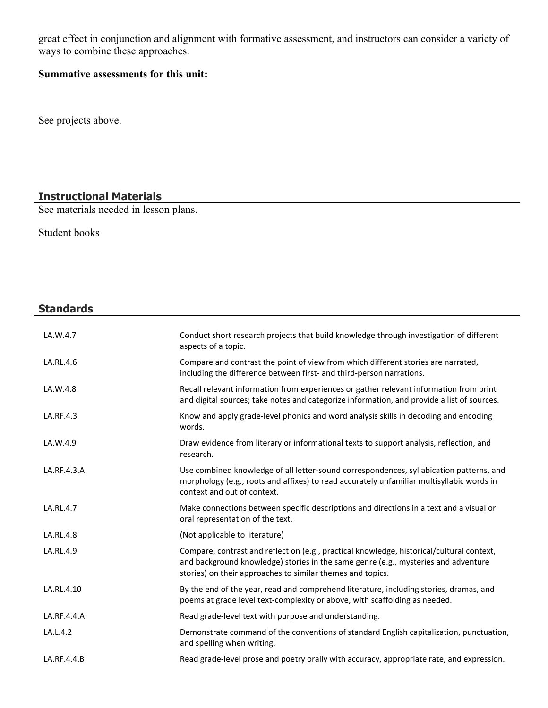great effect in conjunction and alignment with formative assessment, and instructors can consider a variety of ways to combine these approaches.

## **Summative assessments for this unit:**

See projects above.

# **Instructional Materials**

See materials needed in lesson plans.

Student books

# **Standards**

| LA.W.4.7    | Conduct short research projects that build knowledge through investigation of different<br>aspects of a topic.                                                                                                                                |
|-------------|-----------------------------------------------------------------------------------------------------------------------------------------------------------------------------------------------------------------------------------------------|
| LA.RL.4.6   | Compare and contrast the point of view from which different stories are narrated,<br>including the difference between first- and third-person narrations.                                                                                     |
| LA.W.4.8    | Recall relevant information from experiences or gather relevant information from print<br>and digital sources; take notes and categorize information, and provide a list of sources.                                                          |
| LA.RF.4.3   | Know and apply grade-level phonics and word analysis skills in decoding and encoding<br>words.                                                                                                                                                |
| LA.W.4.9    | Draw evidence from literary or informational texts to support analysis, reflection, and<br>research.                                                                                                                                          |
| LA.RF.4.3.A | Use combined knowledge of all letter-sound correspondences, syllabication patterns, and<br>morphology (e.g., roots and affixes) to read accurately unfamiliar multisyllabic words in<br>context and out of context.                           |
| LA.RL.4.7   | Make connections between specific descriptions and directions in a text and a visual or<br>oral representation of the text.                                                                                                                   |
| LA.RL.4.8   | (Not applicable to literature)                                                                                                                                                                                                                |
| LA.RL.4.9   | Compare, contrast and reflect on (e.g., practical knowledge, historical/cultural context,<br>and background knowledge) stories in the same genre (e.g., mysteries and adventure<br>stories) on their approaches to similar themes and topics. |
| LA.RL.4.10  | By the end of the year, read and comprehend literature, including stories, dramas, and<br>poems at grade level text-complexity or above, with scaffolding as needed.                                                                          |
| LA.RF.4.4.A | Read grade-level text with purpose and understanding.                                                                                                                                                                                         |
| LA.L.4.2    | Demonstrate command of the conventions of standard English capitalization, punctuation,<br>and spelling when writing.                                                                                                                         |
| LA.RF.4.4.B | Read grade-level prose and poetry orally with accuracy, appropriate rate, and expression.                                                                                                                                                     |
|             |                                                                                                                                                                                                                                               |